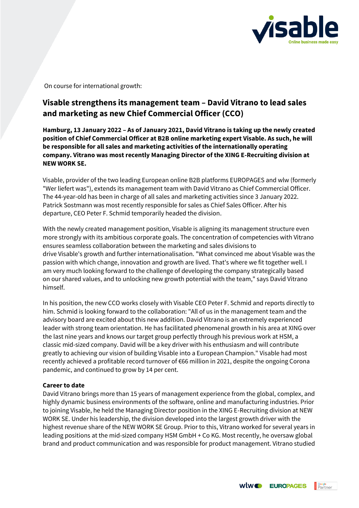

On course for international growth:

## **Visable strengthens its management team – David Vitrano to lead sales and marketing as new Chief Commercial Officer (CCO)**

**Hamburg, 13 January 2022 – As of January 2021, David Vitrano is taking up the newly created position of Chief Commercial Officer at B2B online marketing expert Visable. As such, he will be responsible for all sales and marketing activities of the internationally operating company. Vitrano was most recently Managing Director of the XING E-Recruiting division at NEW WORK SE.**

Visable, provider of the two leading European online B2B platforms EUROPAGES and wlw (formerly "Wer liefert was"), extends its management team with David Vitrano as Chief Commercial Officer. The 44-year-old has been in charge of all sales and marketing activities since 3 January 2022. Patrick Sostmann was most recently responsible for sales as Chief Sales Officer. After his departure, CEO Peter F. Schmid temporarily headed the division.

With the newly created management position, Visable is aligning its management structure even more strongly with its ambitious corporate goals. The concentration of competencies with Vitrano ensures seamless collaboration between the marketing and sales divisions to drive Visable's growth and further internationalisation. "What convinced me about Visable was the passion with which change, innovation and growth are lived. That's where we fit together well. I am very much looking forward to the challenge of developing the company strategically based on our shared values, and to unlocking new growth potential with the team," says David Vitrano himself.

In his position, the new CCO works closely with Visable CEO Peter F. Schmid and reports directly to him. Schmid is looking forward to the collaboration: "All of us in the management team and the advisory board are excited about this new addition. David Vitrano is an extremely experienced leader with strong team orientation. He has facilitated phenomenal growth in his area at XING over the last nine years and knows our target group perfectly through his previous work at HSM, a classic mid-sized company. David will be a key driver with his enthusiasm and will contribute greatly to achieving our vision of building Visable into a European Champion." Visable had most recently achieved a profitable record turnover of €66 million in 2021, despite the ongoing Corona pandemic, and continued to grow by 14 per cent.

## **Career to date**

David Vitrano brings more than 15 years of management experience from the global, complex, and highly dynamic business environments of the software, online and manufacturing industries. Prior to joining Visable, he held the Managing Director position in the XING E-Recruiting division at NEW WORK SE. Under his leadership, the division developed into the largest growth driver with the highest revenue share of the NEW WORK SE Group. Prior to this, Vitrano worked for several years in leading positions at the mid-sized company HSM GmbH + Co KG. Most recently, he oversaw global brand and product communication and was responsible for product management. Vitrano studied